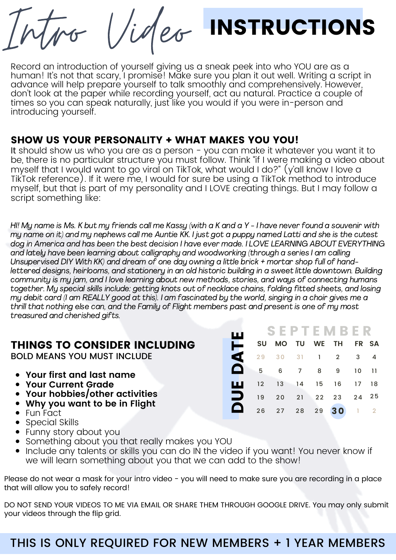Intro Video



Record an introduction of yourself giving us a sneak peek into who YOU are as a human! It's not that scary, I promise! Make sure you plan it out well. Writing a script in advance will help prepare yourself to talk smoothly and comprehensively. However, don't look at the paper while recording yourself, act au natural. Practice a couple of times so you can speak naturally, just like you would if you were in-person and introducing yourself.

#### SHOW US YOUR PERSONALITY + WHAT MAKES YOU YOU!

It should show us who you are as a person - you can make it whatever you want it to be, there is no particular structure you must follow. Think "if I were making a video about myself that I would want to go viral on TikTok, what would I do?" (y'all know I love a TikTok reference). If it were me, I would for sure be using a TikTok method to introduce myself, but that is part of my personality and I LOVE creating things. But I may follow a script something like:

HI! My name is Ms. K but my friends call me Kassy (with a K and a Y - I have never found a souvenir with my name on it) and my nephews call me Auntie KK. I just got a puppy named Latti and she is the cutest dog in America and has been the best decision I have ever made. I LOVE LEARNING ABOUT EVERYTHING and lately have been learning about calligraphy and woodworking (through a series I am calling Unsupervised DIY With KK) and dream of one day owning a little brick + mortar shop full of handlettered designs, heirlooms, and stationery in an old historic building in a sweet little downtown. Building community is my jam, and I love learning about new methods, stories, and ways of connecting humans together. My special skills include: getting knots out of necklace chains, folding fitted sheets, and losing my debit card (I am REALLY good at this). I am fascinated by the world, singing in a choir gives me a thrill that nothing else can, and the Family of Flight members past and present is one of my most treasured and cherished gifts.

Ш

#### THINGS TO CONSIDER INCLUDING

BOLD MEANS YOU MUST INCLUDE

- **Your first and last name**
- **Your Current Grade**
- **Your hobbies/other activities**
- **Why you want to be in Flight**
- Fun Fact
- Special Skills
- Funny story about you
- Something about you that really makes you YOU
- Include any talents or skills you can do IN the video if you want! You never know if we will learn something about you that we can add to the show!

Please do not wear a mask for your intro video - you will need to make sure you are recording in a place that will allow you to safely record!

DO NOT SEND YOUR VIDEOS TO ME VIA EMAIL OR SHARE THEM THROUGH GOOGLE DRIVE. You may only submit your videos through the flip grid.

### THIS IS ONLY REQUIRED FOR NEW MEMBERS + 1 YEAR MEMBERS

#### S E P T E M B E R

| SU MO TU WE TH FR SA |  |  |                    |  |
|----------------------|--|--|--------------------|--|
| 29 30 31 1 2 3 4     |  |  |                    |  |
|                      |  |  | 5 6 7 8 9 10 11    |  |
| 12 13 14 15 16 17 18 |  |  |                    |  |
| 19 20 21 22 23 24 25 |  |  |                    |  |
|                      |  |  | 26 27 28 29 30 1 2 |  |